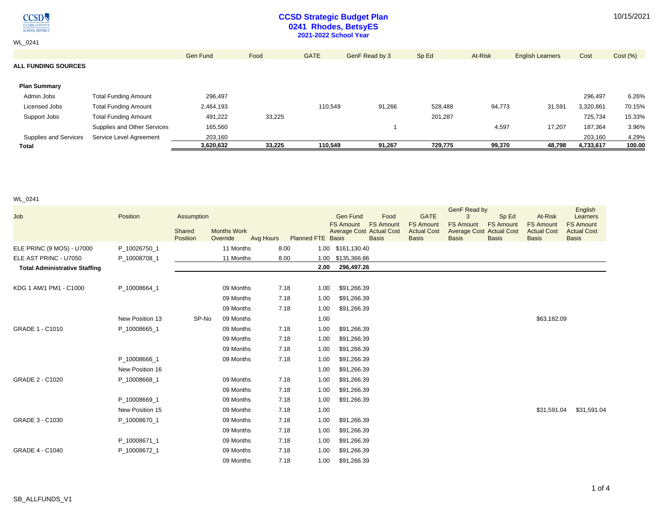$\underset{\frac{\text{CIARK COUNTY}}{\text{CIARK COUNTY}}} {\underset{\text{SCHOOL DISTRICT}}{\text{OUSTRICT}}}$ 

WL\_0241

## **CCSD Strategic Budget Plan 0241 Rhodes, BetsyES 2021-2022 School Year**

|                            |                             | Gen Fund  | Food   | <b>GATE</b> | GenF Read by 3 | Sp Ed   | At-Risk | <b>English Learners</b> | Cost      | Cost (%) |
|----------------------------|-----------------------------|-----------|--------|-------------|----------------|---------|---------|-------------------------|-----------|----------|
| <b>ALL FUNDING SOURCES</b> |                             |           |        |             |                |         |         |                         |           |          |
|                            |                             |           |        |             |                |         |         |                         |           |          |
| <b>Plan Summary</b>        |                             |           |        |             |                |         |         |                         |           |          |
| Admin Jobs                 | <b>Total Funding Amount</b> | 296,497   |        |             |                |         |         |                         | 296,497   | 6.26%    |
| Licensed Jobs              | <b>Total Funding Amount</b> | 2,464,193 |        | 110,549     | 91,266         | 528,488 | 94,773  | 31,591                  | 3,320,861 | 70.15%   |
| Support Jobs               | <b>Total Funding Amount</b> | 491,222   | 33,225 |             |                | 201,287 |         |                         | 725,734   | 15.33%   |
|                            | Supplies and Other Services | 165,560   |        |             |                |         | 4,597   | 17,207                  | 187,364   | 3.96%    |
| Supplies and Services      | Service Level Agreement     | 203.160   |        |             |                |         |         |                         | 203.160   | 4.29%    |
| Total                      |                             | 3,620,632 | 33.225 | 110.549     | 91.267         | 729,775 | 99,370  | 48,798                  | 4,733,617 | 100.00   |

WL\_0241

| Job                                  | Position        | Assumption         |                                |           |                          | <b>Gen Fund</b>   | Food                                                                | <b>GATE</b>                                            | GenF Read by<br>3                                                   | Sp Ed                            | At-Risk                                                | English<br>Learners                                    |
|--------------------------------------|-----------------|--------------------|--------------------------------|-----------|--------------------------|-------------------|---------------------------------------------------------------------|--------------------------------------------------------|---------------------------------------------------------------------|----------------------------------|--------------------------------------------------------|--------------------------------------------------------|
|                                      |                 | Shared<br>Position | <b>Months Work</b><br>Override | Avg Hours | <b>Planned FTE Basis</b> | <b>FS Amount</b>  | <b>FS Amount</b><br><b>Average Cost Actual Cost</b><br><b>Basis</b> | <b>FS Amount</b><br><b>Actual Cost</b><br><b>Basis</b> | <b>FS Amount</b><br><b>Average Cost Actual Cost</b><br><b>Basis</b> | <b>FS Amount</b><br><b>Basis</b> | <b>FS Amount</b><br><b>Actual Cost</b><br><b>Basis</b> | <b>FS Amount</b><br><b>Actual Cost</b><br><b>Basis</b> |
| ELE PRINC (9 MOS) - U7000            | P_10026750_1    |                    | 11 Months                      |           | 8.00                     | 1.00 \$161,130.40 |                                                                     |                                                        |                                                                     |                                  |                                                        |                                                        |
| ELE AST PRINC - U7050                | P_10008708_1    |                    | 11 Months                      |           | 8.00<br>1.00             | \$135,366.86      |                                                                     |                                                        |                                                                     |                                  |                                                        |                                                        |
| <b>Total Administrative Staffing</b> |                 |                    |                                |           | 2.00                     | 296,497.26        |                                                                     |                                                        |                                                                     |                                  |                                                        |                                                        |
|                                      |                 |                    |                                |           |                          |                   |                                                                     |                                                        |                                                                     |                                  |                                                        |                                                        |
| KDG 1 AM/1 PM1 - C1000               | P 10008664 1    |                    | 09 Months                      |           | 7.18<br>1.00             | \$91,266.39       |                                                                     |                                                        |                                                                     |                                  |                                                        |                                                        |
|                                      |                 |                    | 09 Months                      |           | 7.18<br>1.00             | \$91,266.39       |                                                                     |                                                        |                                                                     |                                  |                                                        |                                                        |
|                                      |                 |                    | 09 Months                      |           | 7.18<br>1.00             | \$91,266.39       |                                                                     |                                                        |                                                                     |                                  |                                                        |                                                        |
|                                      | New Position 13 | SP-No              | 09 Months                      |           | 1.00                     |                   |                                                                     |                                                        |                                                                     |                                  | \$63,182.09                                            |                                                        |
| GRADE 1 - C1010                      | P_10008665_1    |                    | 09 Months                      |           | 7.18<br>1.00             | \$91,266.39       |                                                                     |                                                        |                                                                     |                                  |                                                        |                                                        |
|                                      |                 |                    | 09 Months                      |           | 7.18<br>1.00             | \$91,266.39       |                                                                     |                                                        |                                                                     |                                  |                                                        |                                                        |
|                                      |                 |                    | 09 Months                      |           | 7.18<br>1.00             | \$91,266.39       |                                                                     |                                                        |                                                                     |                                  |                                                        |                                                        |
|                                      | P_10008666_1    |                    | 09 Months                      |           | 7.18<br>1.00             | \$91,266.39       |                                                                     |                                                        |                                                                     |                                  |                                                        |                                                        |
|                                      | New Position 16 |                    |                                |           | 1.00                     | \$91,266.39       |                                                                     |                                                        |                                                                     |                                  |                                                        |                                                        |
| GRADE 2 - C1020                      | P_10008668_1    |                    | 09 Months                      |           | 7.18<br>1.00             | \$91,266.39       |                                                                     |                                                        |                                                                     |                                  |                                                        |                                                        |
|                                      |                 |                    | 09 Months                      |           | 7.18<br>1.00             | \$91,266.39       |                                                                     |                                                        |                                                                     |                                  |                                                        |                                                        |
|                                      | P 10008669 1    |                    | 09 Months                      |           | 7.18<br>1.00             | \$91,266.39       |                                                                     |                                                        |                                                                     |                                  |                                                        |                                                        |
|                                      | New Position 15 |                    | 09 Months                      |           | 1.00<br>7.18             |                   |                                                                     |                                                        |                                                                     |                                  | \$31,591.04                                            | \$31,591.04                                            |
| GRADE 3 - C1030                      | P 10008670 1    |                    | 09 Months                      |           | 7.18<br>1.00             | \$91,266.39       |                                                                     |                                                        |                                                                     |                                  |                                                        |                                                        |
|                                      |                 |                    | 09 Months                      |           | 7.18<br>1.00             | \$91,266.39       |                                                                     |                                                        |                                                                     |                                  |                                                        |                                                        |
|                                      | P 10008671 1    |                    | 09 Months                      |           | 7.18<br>1.00             | \$91,266.39       |                                                                     |                                                        |                                                                     |                                  |                                                        |                                                        |
| <b>GRADE 4 - C1040</b>               | P_10008672_1    |                    | 09 Months                      |           | 7.18<br>1.00             | \$91,266.39       |                                                                     |                                                        |                                                                     |                                  |                                                        |                                                        |
|                                      |                 |                    | 09 Months                      |           | 7.18<br>1.00             | \$91,266.39       |                                                                     |                                                        |                                                                     |                                  |                                                        |                                                        |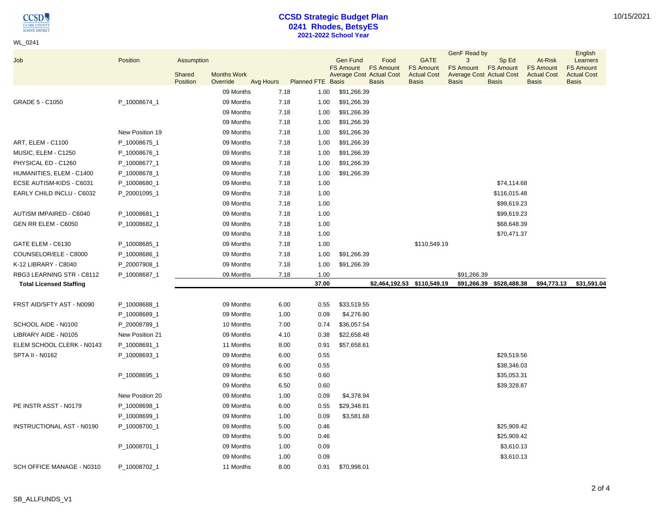$\underset{\frac{\text{CIARK COUNTY}}{\text{CIARK COUNTY}}} {\underset{\text{SCHOOL DISTRICT}}{\text{OUSTRICT}}}$ 

WL\_0241

# **CCSD Strategic Budget Plan 0241 Rhodes, BetsyES 2021-2022 School Year**

|                                  |                 |            |                    |           |                          |                                     |                          |                                 | GenF Read by                                        |                          |                             | English                      |
|----------------------------------|-----------------|------------|--------------------|-----------|--------------------------|-------------------------------------|--------------------------|---------------------------------|-----------------------------------------------------|--------------------------|-----------------------------|------------------------------|
| Job                              | Position        | Assumption |                    |           |                          | <b>Gen Fund</b><br><b>FS Amount</b> | Food<br><b>FS Amount</b> | <b>GATE</b><br><b>FS Amount</b> | 3                                                   | Sp Ed                    | At-Risk<br><b>FS Amount</b> | Learners<br><b>FS Amount</b> |
|                                  |                 | Shared     | <b>Months Work</b> |           |                          | <b>Average Cost Actual Cost</b>     |                          | <b>Actual Cost</b>              | <b>FS Amount</b><br><b>Average Cost Actual Cost</b> | <b>FS Amount</b>         | <b>Actual Cost</b>          | <b>Actual Cost</b>           |
|                                  |                 | Position   | Override           | Avg Hours | <b>Planned FTE Basis</b> |                                     | <b>Basis</b>             | <b>Basis</b>                    | <b>Basis</b>                                        | <b>Basis</b>             | <b>Basis</b>                | <b>Basis</b>                 |
|                                  |                 |            | 09 Months          | 7.18      | 1.00                     | \$91,266.39                         |                          |                                 |                                                     |                          |                             |                              |
| GRADE 5 - C1050                  | P_10008674_1    |            | 09 Months          | 7.18      | 1.00                     | \$91,266.39                         |                          |                                 |                                                     |                          |                             |                              |
|                                  |                 |            | 09 Months          | 7.18      | 1.00                     | \$91,266.39                         |                          |                                 |                                                     |                          |                             |                              |
|                                  |                 |            | 09 Months          | 7.18      | 1.00                     | \$91,266.39                         |                          |                                 |                                                     |                          |                             |                              |
|                                  | New Position 19 |            | 09 Months          | 7.18      | 1.00                     | \$91,266.39                         |                          |                                 |                                                     |                          |                             |                              |
| ART, ELEM - C1100                | P_10008675_1    |            | 09 Months          | 7.18      | 1.00                     | \$91,266.39                         |                          |                                 |                                                     |                          |                             |                              |
| MUSIC, ELEM - C1250              | P_10008676_1    |            | 09 Months          | 7.18      | 1.00                     | \$91,266.39                         |                          |                                 |                                                     |                          |                             |                              |
| PHYSICAL ED - C1260              | P_10008677_1    |            | 09 Months          | 7.18      | 1.00                     | \$91,266.39                         |                          |                                 |                                                     |                          |                             |                              |
| HUMANITIES, ELEM - C1400         | P_10008678_1    |            | 09 Months          | 7.18      | 1.00                     | \$91,266.39                         |                          |                                 |                                                     |                          |                             |                              |
| ECSE AUTISM-KIDS - C6031         | P_10008680_1    |            | 09 Months          | 7.18      | 1.00                     |                                     |                          |                                 |                                                     | \$74,114.68              |                             |                              |
| EARLY CHILD INCLU - C6032        | P_20001095_1    |            | 09 Months          | 7.18      | 1.00                     |                                     |                          |                                 |                                                     | \$116,015.48             |                             |                              |
|                                  |                 |            | 09 Months          | 7.18      | 1.00                     |                                     |                          |                                 |                                                     | \$99,619.23              |                             |                              |
| AUTISM IMPAIRED - C6040          | P_10008681_1    |            | 09 Months          | 7.18      | 1.00                     |                                     |                          |                                 |                                                     | \$99,619.23              |                             |                              |
| GEN RR ELEM - C6050              | P_10008682_1    |            | 09 Months          | 7.18      | 1.00                     |                                     |                          |                                 |                                                     | \$68,648.39              |                             |                              |
|                                  |                 |            | 09 Months          | 7.18      | 1.00                     |                                     |                          |                                 |                                                     | \$70,471.37              |                             |                              |
| GATE ELEM - C6130                | P_10008685_1    |            | 09 Months          | 7.18      | 1.00                     |                                     |                          | \$110,549.19                    |                                                     |                          |                             |                              |
| COUNSELOR/ELE - C8000            | P_10008686_1    |            | 09 Months          | 7.18      | 1.00                     | \$91,266.39                         |                          |                                 |                                                     |                          |                             |                              |
| K-12 LIBRARY - C8040             | P_20007908_1    |            | 09 Months          | 7.18      | 1.00                     | \$91,266.39                         |                          |                                 |                                                     |                          |                             |                              |
| RBG3 LEARNING STR - C8112        | P_10008687_1    |            | 09 Months          | 7.18      | 1.00                     |                                     |                          |                                 | \$91,266.39                                         |                          |                             |                              |
| <b>Total Licensed Staffing</b>   |                 |            |                    |           | 37.00                    |                                     |                          | \$2,464,192.53 \$110,549.19     |                                                     | \$91,266.39 \$528,488.38 | \$94,773.13                 | \$31,591.04                  |
|                                  |                 |            |                    |           |                          |                                     |                          |                                 |                                                     |                          |                             |                              |
| FRST AID/SFTY AST - N0090        | P_10008688_1    |            | 09 Months          | 6.00      | 0.55                     | \$33,519.55                         |                          |                                 |                                                     |                          |                             |                              |
|                                  | P_10008689_1    |            | 09 Months          | 1.00      | 0.09                     | \$4,276.80                          |                          |                                 |                                                     |                          |                             |                              |
| SCHOOL AIDE - N0100              | P_20008789_1    |            | 10 Months          | 7.00      | 0.74                     | \$36,057.54                         |                          |                                 |                                                     |                          |                             |                              |
| LIBRARY AIDE - N0105             | New Position 21 |            | 09 Months          | 4.10      | 0.38                     | \$22,658.48                         |                          |                                 |                                                     |                          |                             |                              |
| ELEM SCHOOL CLERK - N0143        | P_10008691_1    |            | 11 Months          | 8.00      | 0.91                     | \$57,658.61                         |                          |                                 |                                                     |                          |                             |                              |
| SPTA II - N0162                  | P_10008693_1    |            | 09 Months          | 6.00      | 0.55                     |                                     |                          |                                 |                                                     | \$29,519.56              |                             |                              |
|                                  |                 |            | 09 Months          | 6.00      | 0.55                     |                                     |                          |                                 |                                                     | \$38,346.03              |                             |                              |
|                                  | P_10008695_1    |            | 09 Months          | 6.50      | 0.60                     |                                     |                          |                                 |                                                     | \$35,053.31              |                             |                              |
|                                  |                 |            | 09 Months          | 6.50      | 0.60                     |                                     |                          |                                 |                                                     | \$39,328.87              |                             |                              |
|                                  | New Position 20 |            | 09 Months          | 1.00      | 0.09                     | \$4,378.94                          |                          |                                 |                                                     |                          |                             |                              |
| PE INSTR ASST - N0179            | P_10008698_1    |            | 09 Months          | 6.00      | 0.55                     | \$29,348.81                         |                          |                                 |                                                     |                          |                             |                              |
|                                  | P_10008699_1    |            | 09 Months          | 1.00      | 0.09                     | \$3,581.68                          |                          |                                 |                                                     |                          |                             |                              |
| <b>INSTRUCTIONAL AST - N0190</b> | P_10008700_1    |            | 09 Months          | 5.00      | 0.46                     |                                     |                          |                                 |                                                     | \$25,909.42              |                             |                              |
|                                  |                 |            | 09 Months          | 5.00      | 0.46                     |                                     |                          |                                 |                                                     | \$25,909.42              |                             |                              |
|                                  | P_10008701_1    |            | 09 Months          | 1.00      | 0.09                     |                                     |                          |                                 |                                                     | \$3,610.13               |                             |                              |
|                                  |                 |            | 09 Months          | 1.00      | 0.09                     |                                     |                          |                                 |                                                     | \$3,610.13               |                             |                              |
| SCH OFFICE MANAGE - N0310        | P_10008702_1    |            | 11 Months          | 8.00      | 0.91                     | \$70,998.01                         |                          |                                 |                                                     |                          |                             |                              |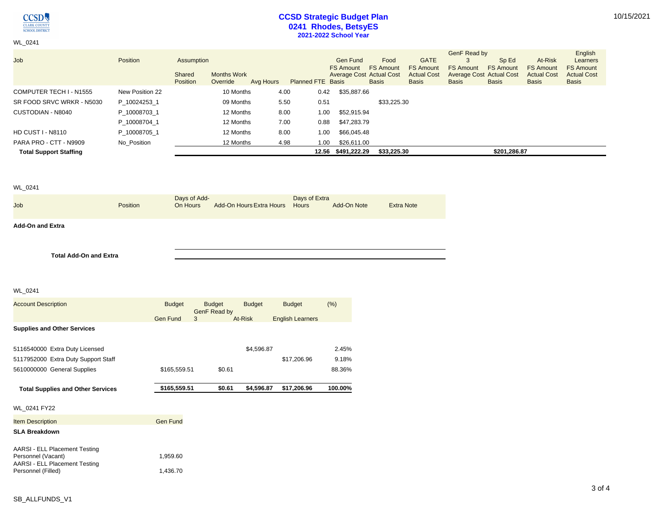**CCSD** CLARK COUNTY

WL\_0241

## **CCSD Strategic Budget Plan 0241 Rhodes, BetsyES 2021-2022 School Year**

|                               |                 |                           |                                |           |                          |                                 |                  |                                    | GenF Read by                             |                  |                                    | English                            |
|-------------------------------|-----------------|---------------------------|--------------------------------|-----------|--------------------------|---------------------------------|------------------|------------------------------------|------------------------------------------|------------------|------------------------------------|------------------------------------|
| Job                           | Position        | Assumption                |                                |           |                          | <b>Gen Fund</b>                 | Food             | <b>GATE</b>                        | 3                                        | Sp Ed            | At-Risk                            | Learners                           |
|                               |                 |                           |                                |           |                          | <b>FS Amount</b>                | <b>FS Amount</b> | <b>FS Amount</b>                   | <b>FS Amount</b>                         | <b>FS Amount</b> | <b>FS Amount</b>                   | <b>FS Amount</b>                   |
|                               |                 | Shared<br><b>Position</b> | <b>Months Work</b><br>Override | Avg Hours | <b>Planned FTE Basis</b> | <b>Average Cost Actual Cost</b> | <b>Basis</b>     | <b>Actual Cost</b><br><b>Basis</b> | <b>Average Cost Actual Cost</b><br>Basis | <b>Basis</b>     | <b>Actual Cost</b><br><b>Basis</b> | <b>Actual Cost</b><br><b>Basis</b> |
|                               |                 |                           |                                |           |                          |                                 |                  |                                    |                                          |                  |                                    |                                    |
| COMPUTER TECH I - N1555       | New Position 22 |                           | 10 Months                      | 4.00      | 0.42                     | \$35,887.66                     |                  |                                    |                                          |                  |                                    |                                    |
| SR FOOD SRVC WRKR - N5030     | P 10024253 1    |                           | 09 Months                      | 5.50      | 0.51                     |                                 | \$33,225.30      |                                    |                                          |                  |                                    |                                    |
| CUSTODIAN - N8040             | P 10008703 1    |                           | 12 Months                      | 8.00      | 1.00                     | \$52,915.94                     |                  |                                    |                                          |                  |                                    |                                    |
|                               | P 10008704 1    |                           | 12 Months                      | 7.00      | 0.88                     | \$47,283.79                     |                  |                                    |                                          |                  |                                    |                                    |
| <b>HD CUST I - N8110</b>      | P 10008705 1    |                           | 12 Months                      | 8.00      | 1.00                     | \$66,045.48                     |                  |                                    |                                          |                  |                                    |                                    |
| PARA PRO - CTT - N9909        | No Position     |                           | 12 Months                      | 4.98      | 1.00                     | \$26,611.00                     |                  |                                    |                                          |                  |                                    |                                    |
| <b>Total Support Staffing</b> |                 |                           |                                |           |                          | 12.56 \$491,222.29              | \$33.225.30      |                                    |                                          | \$201,286.87     |                                    |                                    |

## WL\_0241

| <b>Job</b>              | <b>Position</b> | Days of Add-<br>On Hours | Add-On Hours Extra Hours Hours | Days of Extra | Add-On Note | <b>Extra Note</b> |
|-------------------------|-----------------|--------------------------|--------------------------------|---------------|-------------|-------------------|
| <b>Add-On and Extra</b> |                 |                          |                                |               |             |                   |

**Total Add-On and Extra**

#### WL\_0241

| <b>Budget</b>   |   | <b>Budget</b>                | <b>Budget</b> | <b>Budget</b>           | (% )                     |
|-----------------|---|------------------------------|---------------|-------------------------|--------------------------|
| <b>Gen Fund</b> | 3 |                              |               | <b>English Learners</b> |                          |
|                 |   |                              |               |                         |                          |
|                 |   |                              |               |                         | 2.45%                    |
|                 |   |                              |               | \$17,206.96             | 9.18%                    |
|                 |   | \$0.61                       |               |                         | 88.36%                   |
|                 |   | \$0.61                       |               | \$17,206.96             | 100.00%                  |
|                 |   |                              |               |                         |                          |
| <b>Gen Fund</b> |   |                              |               |                         |                          |
|                 |   |                              |               |                         |                          |
|                 |   |                              |               |                         |                          |
| 1,959.60        |   |                              |               |                         |                          |
|                 |   | \$165,559.51<br>\$165,559.51 | GenF Read by  | At-Risk                 | \$4,596.87<br>\$4,596.87 |